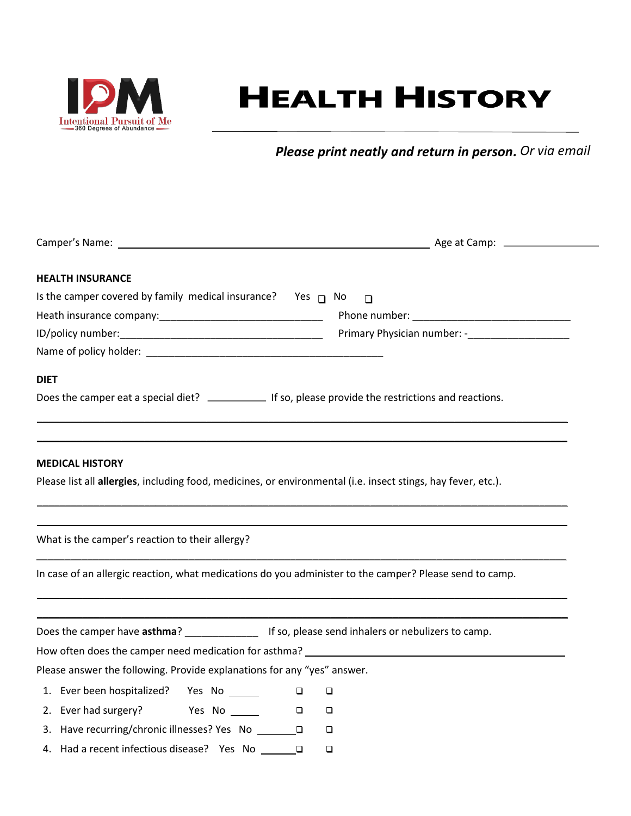

## **HEALTH HISTORY**

*Please print neatly and return in person. Or via email*

| <b>HEALTH INSURANCE</b>                                                                                                                 |                                                  |
|-----------------------------------------------------------------------------------------------------------------------------------------|--------------------------------------------------|
| Is the camper covered by family medical insurance? Yes $\Box$ No                                                                        | $\Box$                                           |
|                                                                                                                                         |                                                  |
|                                                                                                                                         | Primary Physician number: -_____________________ |
|                                                                                                                                         |                                                  |
| <b>DIET</b>                                                                                                                             |                                                  |
|                                                                                                                                         |                                                  |
| <b>MEDICAL HISTORY</b><br>Please list all allergies, including food, medicines, or environmental (i.e. insect stings, hay fever, etc.). |                                                  |
| What is the camper's reaction to their allergy?                                                                                         |                                                  |
| In case of an allergic reaction, what medications do you administer to the camper? Please send to camp.                                 |                                                  |
|                                                                                                                                         |                                                  |
|                                                                                                                                         |                                                  |
| Please answer the following. Provide explanations for any "yes" answer.                                                                 |                                                  |
| 1. Ever been hospitalized? Yes No ______<br>$\Box$                                                                                      | $\Box$                                           |
|                                                                                                                                         | $\Box$                                           |
| 3. Have recurring/chronic illnesses? Yes No ________                                                                                    | $\Box$                                           |
| 4. Had a recent infectious disease? Yes No _______                                                                                      | □                                                |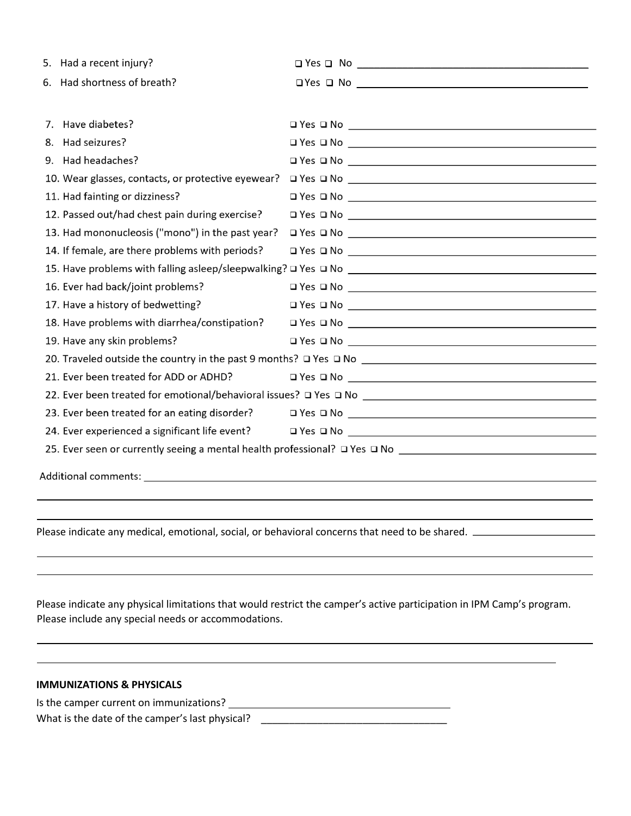|    | 5. Had a recent injury?                            |                                                   |  |  |
|----|----------------------------------------------------|---------------------------------------------------|--|--|
|    | 6. Had shortness of breath?                        | $\Box Yes \ \Box \ No \ \underline{\hspace{1cm}}$ |  |  |
|    |                                                    |                                                   |  |  |
| 7. | Have diabetes?                                     |                                                   |  |  |
| 8. | Had seizures?                                      |                                                   |  |  |
|    | 9. Had headaches?                                  |                                                   |  |  |
|    | 10. Wear glasses, contacts, or protective eyewear? |                                                   |  |  |
|    | 11. Had fainting or dizziness?                     |                                                   |  |  |
|    | 12. Passed out/had chest pain during exercise?     |                                                   |  |  |
|    | 13. Had mononucleosis ("mono") in the past year?   |                                                   |  |  |
|    | 14. If female, are there problems with periods?    | $\square$ Yes $\square$ No $\square$              |  |  |
|    |                                                    |                                                   |  |  |
|    | 16. Ever had back/joint problems?                  | $\square$ Yes $\square$ No $\square$              |  |  |
|    | 17. Have a history of bedwetting?                  |                                                   |  |  |
|    | 18. Have problems with diarrhea/constipation?      |                                                   |  |  |
|    | 19. Have any skin problems?                        |                                                   |  |  |
|    |                                                    |                                                   |  |  |
|    | 21. Ever been treated for ADD or ADHD?             | $\square$ Yes $\square$ No $\square$              |  |  |
|    |                                                    |                                                   |  |  |
|    | 23. Ever been treated for an eating disorder?      |                                                   |  |  |
|    | 24. Ever experienced a significant life event?     |                                                   |  |  |
|    |                                                    |                                                   |  |  |
|    | Additional comments:                               |                                                   |  |  |

Please indicate any medical, emotional, social, or behavioral concerns that need to be shared.

Please indicate any physical limitations that would restrict the camper's active participation in IPM Camp's program. Please include any special needs or accommodations.

 $\overline{a}$ 

| <b>IMMUNIZATIONS &amp; PHYSICALS</b>    |  |
|-----------------------------------------|--|
| Is the camper current on immunizations? |  |

What is the date of the camper's last physical? \_\_\_\_\_\_\_\_\_\_\_\_\_\_\_\_\_\_\_\_\_\_\_\_\_\_\_\_\_\_\_\_\_

 $\overline{\phantom{0}}$  $\overline{\phantom{a}}$ 

 $\overline{\phantom{0}}$ 

 $\overline{\phantom{a}}$  $\overline{\phantom{a}}$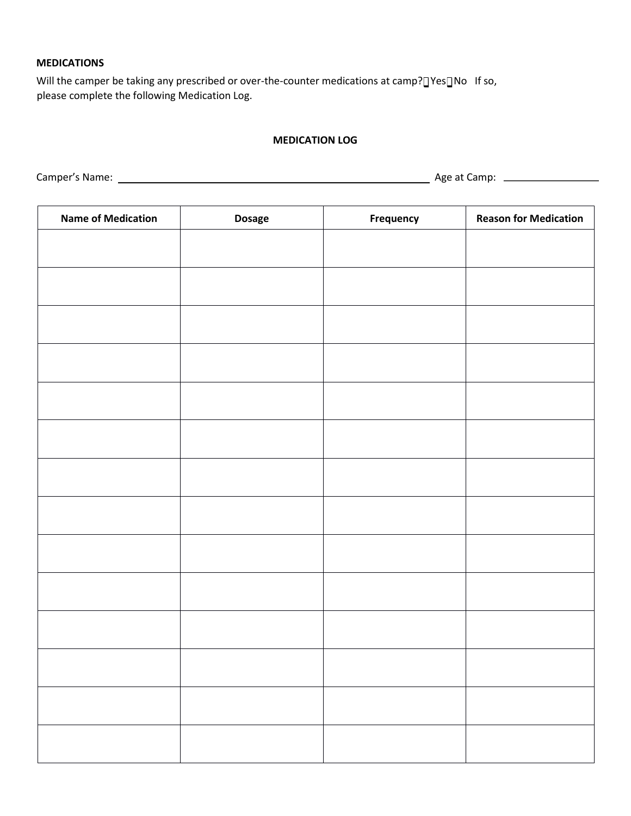## **MEDICATIONS**

Will the camper be taking any prescribed or over-the-counter medications at camp? TYes TNo If so, please complete the following Medication Log.

## **MEDICATION LOG**

Camper's Name: Age at Camp:

| <b>Name of Medication</b> | <b>Dosage</b> | <b>Frequency</b> | <b>Reason for Medication</b> |
|---------------------------|---------------|------------------|------------------------------|
|                           |               |                  |                              |
|                           |               |                  |                              |
|                           |               |                  |                              |
|                           |               |                  |                              |
|                           |               |                  |                              |
|                           |               |                  |                              |
|                           |               |                  |                              |
|                           |               |                  |                              |
|                           |               |                  |                              |
|                           |               |                  |                              |
|                           |               |                  |                              |
|                           |               |                  |                              |
|                           |               |                  |                              |
|                           |               |                  |                              |
|                           |               |                  |                              |
|                           |               |                  |                              |
|                           |               |                  |                              |
|                           |               |                  |                              |
|                           |               |                  |                              |
|                           |               |                  |                              |
|                           |               |                  |                              |